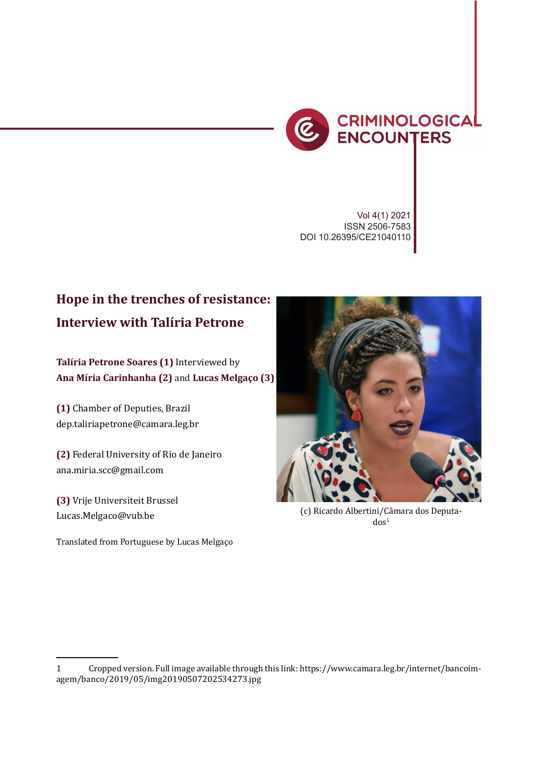

*Interview with Zaffaroni* 145

Vol 4(1) 2021 ISSN 2506-7583 DOI 10.26395/CE21040110

## **Hope in the trenches of resistance: Interview with Talíria Petrone**

**Talíria Petrone Soares (1)** Interviewed by **Ana Míria Carinhanha (2)** and **Lucas Melgaço (3)**

**(1)** Chamber of Deputies, Brazil dep.taliriapetrone@camara.leg.br

**(2)** Federal University of Rio de Janeiro ana.miria.scc@gmail.com

**(3)** Vrije Universiteit Brussel Lucas.Melgaco@vub.be

Translated from Portuguese by Lucas Melgaço



(c) Ricardo Albertini/Câmara dos Deputa $d$ os<sup>1</sup>

<sup>1</sup> Cropped version. Full image available through this link: https://www.camara.leg.br/internet/bancoimagem/banco/2019/05/img20190507202534273.jpg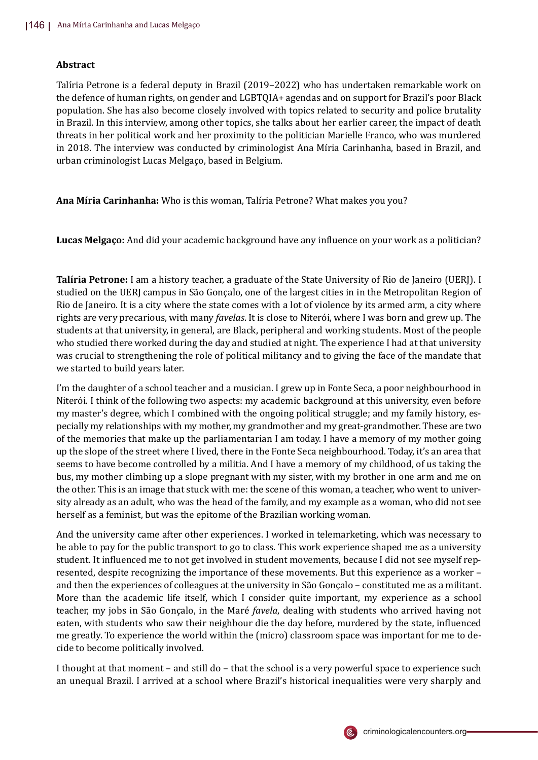## **Abstract**

Talíria Petrone is a federal deputy in Brazil (2019–2022) who has undertaken remarkable work on the defence of human rights, on gender and LGBTQIA+ agendas and on support for Brazil's poor Black population. She has also become closely involved with topics related to security and police brutality in Brazil. In this interview, among other topics, she talks about her earlier career, the impact of death threats in her political work and her proximity to the politician Marielle Franco, who was murdered in 2018. The interview was conducted by criminologist Ana Míria Carinhanha, based in Brazil, and urban criminologist Lucas Melgaço, based in Belgium.

**Ana Míria Carinhanha:** Who is this woman, Talı́ria Petrone? What makes you you?

**Lucas Melgaço:** And did your academic background have any influence on your work as a politician?

**Talíria Petrone:** I am a history teacher, a graduate of the State University of Rio de Janeiro (UERJ). I studied on the UERJ campus in São Gonçalo, one of the largest cities in in the Metropolitan Region of Rio de Janeiro. It is a city where the state comes with a lot of violence by its armed arm, a city where rights are very precarious, with many *favelas*. It is close to Niterói, where I was born and grew up. The students at that university, in general, are Black, peripheral and working students. Most of the people who studied there worked during the day and studied at night. The experience I had at that university was crucial to strengthening the role of political militancy and to giving the face of the mandate that we started to build years later.

I'm the daughter of a school teacher and a musician. I grew up in Fonte Seca, a poor neighbourhood in Niterói. I think of the following two aspects: my academic background at this university, even before my master's degree, which I combined with the ongoing political struggle; and my family history, especially my relationships with my mother, my grandmother and my great-grandmother. These are two of the memories that make up the parliamentarian I am today. I have a memory of my mother going up the slope of the street where I lived, there in the Fonte Seca neighbourhood. Today, it's an area that seems to have become controlled by a militia. And I have a memory of my childhood, of us taking the bus, my mother climbing up a slope pregnant with my sister, with my brother in one arm and me on the other. This is an image that stuck with me: the scene of this woman, a teacher, who went to university already as an adult, who was the head of the family, and my example as a woman, who did not see herself as a feminist, but was the epitome of the Brazilian working woman.

And the university came after other experiences. I worked in telemarketing, which was necessary to be able to pay for the public transport to go to class. This work experience shaped me as a university student. It influenced me to not get involved in student movements, because I did not see myself represented, despite recognizing the importance of these movements. But this experience as a worker – and then the experiences of colleagues at the university in São Gonçalo - constituted me as a militant. More than the academic life itself, which I consider quite important, my experience as a school teacher, my jobs in São Gonçalo, in the Maré *favela*, dealing with students who arrived having not eaten, with students who saw their neighbour die the day before, murdered by the state, influenced me greatly. To experience the world within the (micro) classroom space was important for me to decide to become politically involved.

I thought at that moment – and still do – that the school is a very powerful space to experience such an unequal Brazil. I arrived at a school where Brazil's historical inequalities were very sharply and

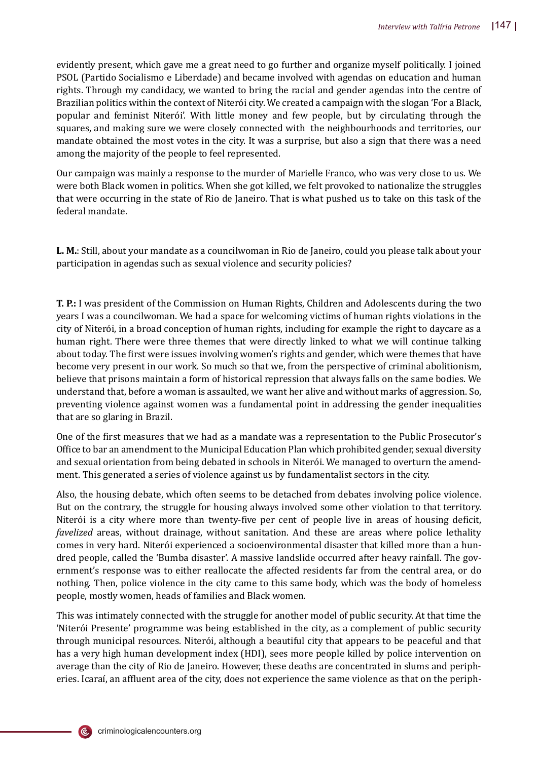evidently present, which gave me a great need to go further and organize myself politically. I joined PSOL (Partido Socialismo e Liberdade) and became involved with agendas on education and human rights. Through my candidacy, we wanted to bring the racial and gender agendas into the centre of Brazilian politics within the context of Niterói city. We created a campaign with the slogan 'For a Black, popular and feminist Niterói'. With little money and few people, but by circulating through the squares, and making sure we were closely connected with the neighbourhoods and territories, our mandate obtained the most votes in the city. It was a surprise, but also a sign that there was a need among the majority of the people to feel represented.

Our campaign was mainly a response to the murder of Marielle Franco, who was very close to us. We were both Black women in politics. When she got killed, we felt provoked to nationalize the struggles that were occurring in the state of Rio de Janeiro. That is what pushed us to take on this task of the federal mandate.

**L. M.**: Still, about your mandate as a councilwoman in Rio de Janeiro, could you please talk about your participation in agendas such as sexual violence and security policies?

**T. P.:** I was president of the Commission on Human Rights, Children and Adolescents during the two years I was a councilwoman. We had a space for welcoming victims of human rights violations in the city of Niterói, in a broad conception of human rights, including for example the right to daycare as a human right. There were three themes that were directly linked to what we will continue talking about today. The �irst were issues involving women's rights and gender, which were themes that have become very present in our work. So much so that we, from the perspective of criminal abolitionism, believe that prisons maintain a form of historical repression that always falls on the same bodies. We understand that, before a woman is assaulted, we want her alive and without marks of aggression. So, preventing violence against women was a fundamental point in addressing the gender inequalities that are so glaring in Brazil.

One of the �irst measures that we had as a mandate was a representation to the Public Prosecutor's Office to bar an amendment to the Municipal Education Plan which prohibited gender, sexual diversity and sexual orientation from being debated in schools in Niterói. We managed to overturn the amendment. This generated a series of violence against us by fundamentalist sectors in the city.

Also, the housing debate, which often seems to be detached from debates involving police violence. But on the contrary, the struggle for housing always involved some other violation to that territory. Niterói is a city where more than twenty-five per cent of people live in areas of housing deficit, *favelized* areas, without drainage, without sanitation. And these are areas where police lethality comes in very hard. Niterói experienced a socioenvironmental disaster that killed more than a hundred people, called the 'Bumba disaster'. A massive landslide occurred after heavy rainfall. The government's response was to either reallocate the affected residents far from the central area, or do nothing. Then, police violence in the city came to this same body, which was the body of homeless people, mostly women, heads of families and Black women.

This was intimately connected with the struggle for another model of public security. At that time the 'Niterói Presente' programme was being established in the city, as a complement of public security through municipal resources. Niterói, although a beautiful city that appears to be peaceful and that has a very high human development index (HDI), sees more people killed by police intervention on average than the city of Rio de Janeiro. However, these deaths are concentrated in slums and peripheries. Icaraí, an affluent area of the city, does not experience the same violence as that on the periph-

criminologicalencounters.org

(Ē,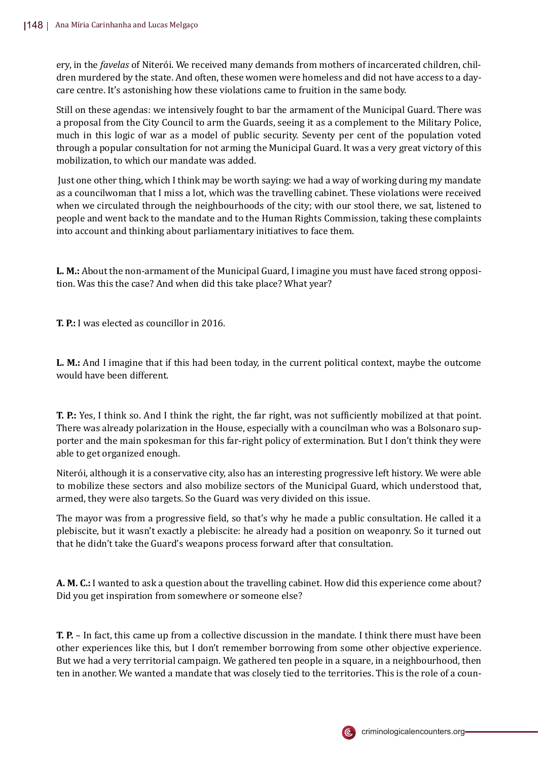ery, in the *favelas* of Niterói. We received many demands from mothers of incarcerated children, children murdered by the state. And often, these women were homeless and did not have access to a daycare centre. It's astonishing how these violations came to fruition in the same body.

Still on these agendas: we intensively fought to bar the armament of the Municipal Guard. There was a proposal from the City Council to arm the Guards, seeing it as a complement to the Military Police, much in this logic of war as a model of public security. Seventy per cent of the population voted through a popular consultation for not arming the Municipal Guard. It was a very great victory of this mobilization, to which our mandate was added.

Just one other thing, which I think may be worth saying: we had a way of working during my mandate as a councilwoman that I miss a lot, which was the travelling cabinet. These violations were received when we circulated through the neighbourhoods of the city; with our stool there, we sat, listened to people and went back to the mandate and to the Human Rights Commission, taking these complaints into account and thinking about parliamentary initiatives to face them.

**L. M.:** About the non-armament of the Municipal Guard, I imagine you must have faced strong opposition. Was this the case? And when did this take place? What year?

**T. P.:** I was elected as councillor in 2016.

**L. M.:** And I imagine that if this had been today, in the current political context, maybe the outcome would have been different.

**T. P.:** Yes, I think so. And I think the right, the far right, was not suf�iciently mobilized at that point. There was already polarization in the House, especially with a councilman who was a Bolsonaro supporter and the main spokesman for this far-right policy of extermination. But I don't think they were able to get organized enough.

Niterói, although it is a conservative city, also has an interesting progressive left history. We were able to mobilize these sectors and also mobilize sectors of the Municipal Guard, which understood that, armed, they were also targets. So the Guard was very divided on this issue.

The mayor was from a progressive �ield, so that's why he made a public consultation. He called it a plebiscite, but it wasn't exactly a plebiscite: he already had a position on weaponry. So it turned out that he didn't take the Guard's weapons process forward after that consultation.

**A. M. C.:** I wanted to ask a question about the travelling cabinet. How did this experience come about? Did you get inspiration from somewhere or someone else?

**T. P.** – In fact, this came up from a collective discussion in the mandate. I think there must have been other experiences like this, but I don't remember borrowing from some other objective experience. But we had a very territorial campaign. We gathered ten people in a square, in a neighbourhood, then ten in another. We wanted a mandate that was closely tied to the territories. This is the role of a coun-

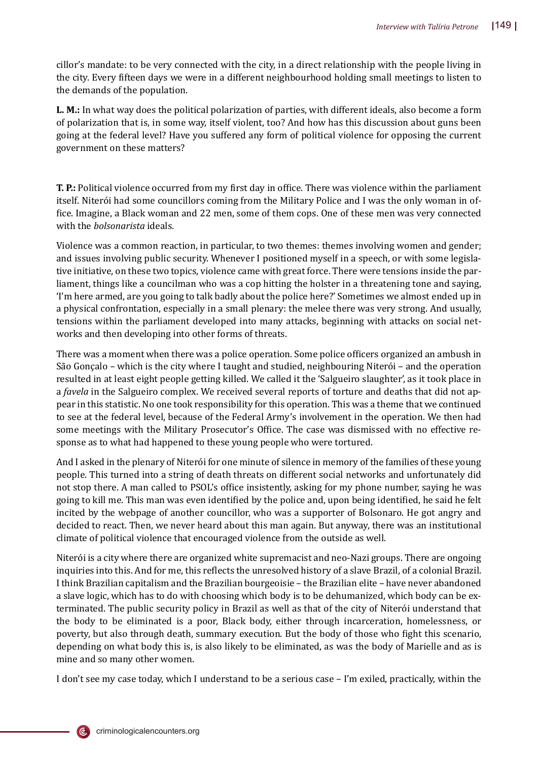cillor's mandate: to be very connected with the city, in a direct relationship with the people living in the city. Every �ifteen days we were in a different neighbourhood holding small meetings to listen to the demands of the population.

**L. M.:** In what way does the political polarization of parties, with different ideals, also become a form of polarization that is, in some way, itself violent, too? And how has this discussion about guns been going at the federal level? Have you suffered any form of political violence for opposing the current government on these matters?

**T. P.:** Political violence occurred from my first day in office. There was violence within the parliament itself. Niterói had some councillors coming from the Military Police and I was the only woman in of- �ice. Imagine, a Black woman and 22 men, some of them cops. One of these men was very connected with the *bolsonarista* ideals.

Violence was a common reaction, in particular, to two themes: themes involving women and gender; and issues involving public security. Whenever I positioned myself in a speech, or with some legislative initiative, on these two topics, violence came with great force. There were tensions inside the parliament, things like a councilman who was a cop hitting the holster in a threatening tone and saying, 'I'm here armed, are you going to talk badly about the police here?' Sometimes we almost ended up in a physical confrontation, especially in a small plenary: the melee there was very strong. And usually, tensions within the parliament developed into many attacks, beginning with attacks on social networks and then developing into other forms of threats.

There was a moment when there was a police operation. Some police officers organized an ambush in São Gonçalo – which is the city where I taught and studied, neighbouring Niterói – and the operation resulted in at least eight people getting killed. We called it the 'Salgueiro slaughter', as it took place in a *favela* in the Salgueiro complex. We received several reports of torture and deaths that did not appear in this statistic. No one took responsibility for this operation. This was a theme that we continued to see at the federal level, because of the Federal Army's involvement in the operation. We then had some meetings with the Military Prosecutor's Office. The case was dismissed with no effective response as to what had happened to these young people who were tortured.

And I asked in the plenary of Niterói for one minute of silence in memory of the families of these young people. This turned into a string of death threats on different social networks and unfortunately did not stop there. A man called to PSOL's office insistently, asking for my phone number, saying he was going to kill me. This man was even identi�ied by the police and, upon being identi�ied, he said he felt incited by the webpage of another councillor, who was a supporter of Bolsonaro. He got angry and decided to react. Then, we never heard about this man again. But anyway, there was an institutional climate of political violence that encouraged violence from the outside as well.

Niterói is a city where there are organized white supremacist and neo-Nazi groups. There are ongoing inquiries into this. And for me, this reflects the unresolved history of a slave Brazil, of a colonial Brazil. I think Brazilian capitalism and the Brazilian bourgeoisie – the Brazilian elite – have never abandoned a slave logic, which has to do with choosing which body is to be dehumanized, which body can be exterminated. The public security policy in Brazil as well as that of the city of Niterói understand that the body to be eliminated is a poor, Black body, either through incarceration, homelessness, or poverty, but also through death, summary execution. But the body of those who �ight this scenario, depending on what body this is, is also likely to be eliminated, as was the body of Marielle and as is mine and so many other women.

I don't see my case today, which I understand to be a serious case – I'm exiled, practically, within the

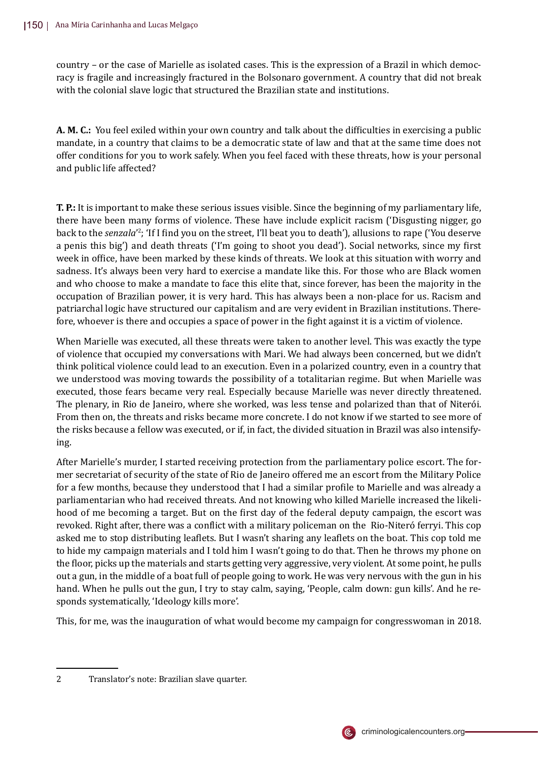country – or the case of Marielle as isolated cases. This is the expression of a Brazil in which democracy is fragile and increasingly fractured in the Bolsonaro government. A country that did not break with the colonial slave logic that structured the Brazilian state and institutions.

**A. M. C.:** You feel exiled within your own country and talk about the difficulties in exercising a public mandate, in a country that claims to be a democratic state of law and that at the same time does not offer conditions for you to work safely. When you feel faced with these threats, how is your personal and public life affected?

**T. P.:** It is important to make these serious issues visible. Since the beginning of my parliamentary life, there have been many forms of violence. These have include explicit racism ('Disgusting nigger, go back to the *senzala*'<sup>2</sup>; 'If I find you on the street, I'll beat you to death'), allusions to rape ('You deserve a penis this big') and death threats ('I'm going to shoot you dead'). Social networks, since my �irst week in office, have been marked by these kinds of threats. We look at this situation with worry and sadness. It's always been very hard to exercise a mandate like this. For those who are Black women and who choose to make a mandate to face this elite that, since forever, has been the majority in the occupation of Brazilian power, it is very hard. This has always been a non-place for us. Racism and patriarchal logic have structured our capitalism and are very evident in Brazilian institutions. Therefore, whoever is there and occupies a space of power in the fight against it is a victim of violence.

When Marielle was executed, all these threats were taken to another level. This was exactly the type of violence that occupied my conversations with Mari. We had always been concerned, but we didn't think political violence could lead to an execution. Even in a polarized country, even in a country that we understood was moving towards the possibility of a totalitarian regime. But when Marielle was executed, those fears became very real. Especially because Marielle was never directly threatened. The plenary, in Rio de Janeiro, where she worked, was less tense and polarized than that of Niterói. From then on, the threats and risks became more concrete. I do not know if we started to see more of the risks because a fellow was executed, or if, in fact, the divided situation in Brazil was also intensifying.

After Marielle's murder, I started receiving protection from the parliamentary police escort. The former secretariat of security of the state of Rio de Janeiro offered me an escort from the Military Police for a few months, because they understood that I had a similar profile to Marielle and was already a parliamentarian who had received threats. And not knowing who killed Marielle increased the likelihood of me becoming a target. But on the first day of the federal deputy campaign, the escort was revoked. Right after, there was a conflict with a military policeman on the Rio-Niteró ferryi. This cop asked me to stop distributing leaflets. But I wasn't sharing any leaflets on the boat. This cop told me to hide my campaign materials and I told him I wasn't going to do that. Then he throws my phone on the floor, picks up the materials and starts getting very aggressive, very violent. At some point, he pulls out a gun, in the middle of a boat full of people going to work. He was very nervous with the gun in his hand. When he pulls out the gun, I try to stay calm, saying, 'People, calm down: gun kills'. And he responds systematically, 'Ideology kills more'.

This, for me, was the inauguration of what would become my campaign for congresswoman in 2018.



<sup>2</sup> Translator's note: Brazilian slave quarter.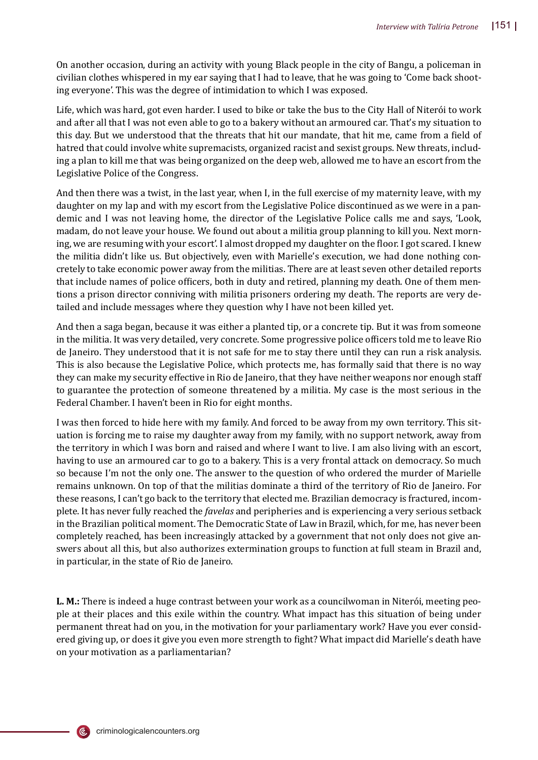On another occasion, during an activity with young Black people in the city of Bangu, a policeman in civilian clothes whispered in my ear saying that I had to leave, that he was going to 'Come back shooting everyone'. This was the degree of intimidation to which I was exposed.

Life, which was hard, got even harder. I used to bike or take the bus to the City Hall of Niterói to work and after all that I was not even able to go to a bakery without an armoured car. That's my situation to this day. But we understood that the threats that hit our mandate, that hit me, came from a �ield of hatred that could involve white supremacists, organized racist and sexist groups. New threats, including a plan to kill me that was being organized on the deep web, allowed me to have an escort from the Legislative Police of the Congress.

And then there was a twist, in the last year, when I, in the full exercise of my maternity leave, with my daughter on my lap and with my escort from the Legislative Police discontinued as we were in a pandemic and I was not leaving home, the director of the Legislative Police calls me and says, 'Look, madam, do not leave your house. We found out about a militia group planning to kill you. Next morning, we are resuming with your escort'. I almost dropped my daughter on the floor. I got scared. I knew the militia didn't like us. But objectively, even with Marielle's execution, we had done nothing concretely to take economic power away from the militias. There are at least seven other detailed reports that include names of police officers, both in duty and retired, planning my death. One of them mentions a prison director conniving with militia prisoners ordering my death. The reports are very detailed and include messages where they question why I have not been killed yet.

And then a saga began, because it was either a planted tip, or a concrete tip. But it was from someone in the militia. It was very detailed, very concrete. Some progressive police officers told me to leave Rio de Janeiro. They understood that it is not safe for me to stay there until they can run a risk analysis. This is also because the Legislative Police, which protects me, has formally said that there is no way they can make my security effective in Rio de Janeiro, that they have neither weapons nor enough staff to guarantee the protection of someone threatened by a militia. My case is the most serious in the Federal Chamber. I haven't been in Rio for eight months.

I was then forced to hide here with my family. And forced to be away from my own territory. This situation is forcing me to raise my daughter away from my family, with no support network, away from the territory in which I was born and raised and where I want to live. I am also living with an escort, having to use an armoured car to go to a bakery. This is a very frontal attack on democracy. So much so because I'm not the only one. The answer to the question of who ordered the murder of Marielle remains unknown. On top of that the militias dominate a third of the territory of Rio de Janeiro. For these reasons, I can't go back to the territory that elected me. Brazilian democracy is fractured, incomplete. It has never fully reached the *favelas* and peripheries and is experiencing a very serious setback in the Brazilian political moment. The Democratic State of Law in Brazil, which, for me, has never been completely reached, has been increasingly attacked by a government that not only does not give answers about all this, but also authorizes extermination groups to function at full steam in Brazil and, in particular, in the state of Rio de Janeiro.

**L. M.:** There is indeed a huge contrast between your work as a councilwoman in Niterói, meeting people at their places and this exile within the country. What impact has this situation of being under permanent threat had on you, in the motivation for your parliamentary work? Have you ever considered giving up, or does it give you even more strength to fight? What impact did Marielle's death have on your motivation as a parliamentarian?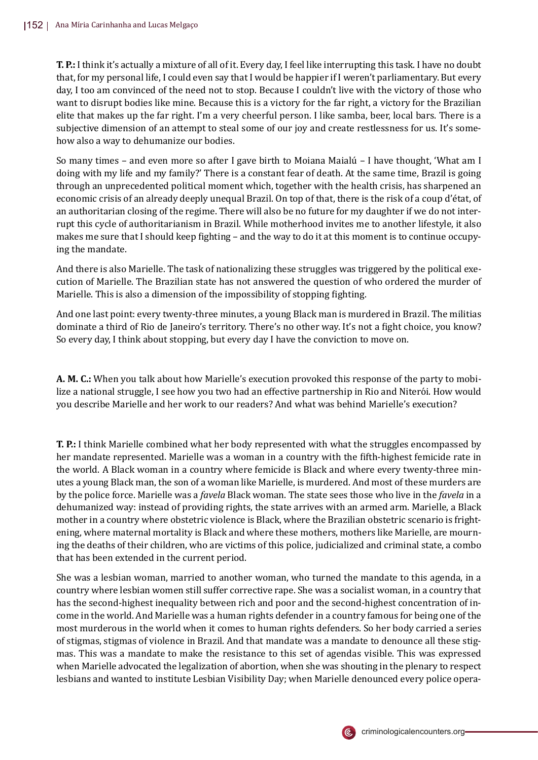**T. P.:** I think it's actually a mixture of all of it. Every day, I feel like interrupting this task. I have no doubt that, for my personal life, I could even say that I would be happier if I weren't parliamentary. But every day, I too am convinced of the need not to stop. Because I couldn't live with the victory of those who want to disrupt bodies like mine. Because this is a victory for the far right, a victory for the Brazilian elite that makes up the far right. I'm a very cheerful person. I like samba, beer, local bars. There is a subjective dimension of an attempt to steal some of our joy and create restlessness for us. It's somehow also a way to dehumanize our bodies.

So many times – and even more so after I gave birth to Moiana Maialú – I have thought, 'What am I doing with my life and my family?' There is a constant fear of death. At the same time, Brazil is going through an unprecedented political moment which, together with the health crisis, has sharpened an economic crisis of an already deeply unequal Brazil. On top of that, there is the risk of a coup d'état, of an authoritarian closing of the regime. There will also be no future for my daughter if we do not interrupt this cycle of authoritarianism in Brazil. While motherhood invites me to another lifestyle, it also makes me sure that I should keep fighting - and the way to do it at this moment is to continue occupying the mandate.

And there is also Marielle. The task of nationalizing these struggles was triggered by the political execution of Marielle. The Brazilian state has not answered the question of who ordered the murder of Marielle. This is also a dimension of the impossibility of stopping fighting.

And one last point: every twenty-three minutes, a young Black man is murdered in Brazil. The militias dominate a third of Rio de Janeiro's territory. There's no other way. It's not a fight choice, you know? So every day, I think about stopping, but every day I have the conviction to move on.

**A. M. C.:** When you talk about how Marielle's execution provoked this response of the party to mobilize a national struggle, I see how you two had an effective partnership in Rio and Niterói. How would you describe Marielle and her work to our readers? And what was behind Marielle's execution?

**T. P.:** I think Marielle combined what her body represented with what the struggles encompassed by her mandate represented. Marielle was a woman in a country with the �ifth-highest femicide rate in the world. A Black woman in a country where femicide is Black and where every twenty-three minutes a young Black man, the son of a woman like Marielle, is murdered. And most of these murders are by the police force. Marielle was a *favela* Black woman. The state sees those who live in the *favela* in a dehumanized way: instead of providing rights, the state arrives with an armed arm. Marielle, a Black mother in a country where obstetric violence is Black, where the Brazilian obstetric scenario is frightening, where maternal mortality is Black and where these mothers, mothers like Marielle, are mourning the deaths of their children, who are victims of this police, judicialized and criminal state, a combo that has been extended in the current period.

She was a lesbian woman, married to another woman, who turned the mandate to this agenda, in a country where lesbian women still suffer corrective rape. She was a socialist woman, in a country that has the second-highest inequality between rich and poor and the second-highest concentration of income in the world. And Marielle was a human rights defender in a country famous for being one of the most murderous in the world when it comes to human rights defenders. So her body carried a series of stigmas, stigmas of violence in Brazil. And that mandate was a mandate to denounce all these stigmas. This was a mandate to make the resistance to this set of agendas visible. This was expressed when Marielle advocated the legalization of abortion, when she was shouting in the plenary to respect lesbians and wanted to institute Lesbian Visibility Day; when Marielle denounced every police opera-

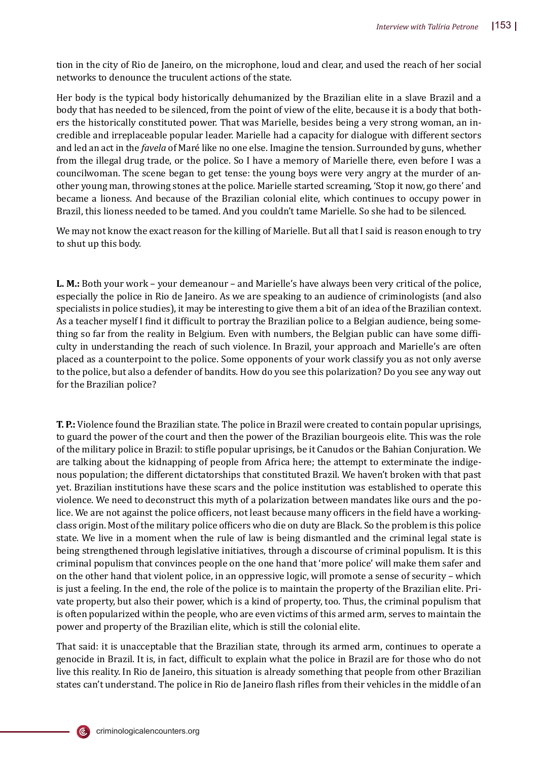tion in the city of Rio de Janeiro, on the microphone, loud and clear, and used the reach of her social networks to denounce the truculent actions of the state.

Her body is the typical body historically dehumanized by the Brazilian elite in a slave Brazil and a body that has needed to be silenced, from the point of view of the elite, because it is a body that bothers the historically constituted power. That was Marielle, besides being a very strong woman, an incredible and irreplaceable popular leader. Marielle had a capacity for dialogue with different sectors and led an act in the *favela* of Maré like no one else. Imagine the tension. Surrounded by guns, whether from the illegal drug trade, or the police. So I have a memory of Marielle there, even before I was a councilwoman. The scene began to get tense: the young boys were very angry at the murder of another young man, throwing stones at the police. Marielle started screaming, 'Stop it now, go there' and became a lioness. And because of the Brazilian colonial elite, which continues to occupy power in Brazil, this lioness needed to be tamed. And you couldn't tame Marielle. So she had to be silenced.

We may not know the exact reason for the killing of Marielle. But all that I said is reason enough to try to shut up this body.

**L. M.:** Both your work – your demeanour – and Marielle's have always been very critical of the police, especially the police in Rio de Janeiro. As we are speaking to an audience of criminologists (and also specialists in police studies), it may be interesting to give them a bit of an idea of the Brazilian context. As a teacher myself I find it difficult to portray the Brazilian police to a Belgian audience, being something so far from the reality in Belgium. Even with numbers, the Belgian public can have some difficulty in understanding the reach of such violence. In Brazil, your approach and Marielle's are often placed as a counterpoint to the police. Some opponents of your work classify you as not only averse to the police, but also a defender of bandits. How do you see this polarization? Do you see any way out for the Brazilian police?

**T. P.:** Violence found the Brazilian state. The police in Brazil were created to contain popular uprisings, to guard the power of the court and then the power of the Brazilian bourgeois elite. This was the role of the military police in Brazil: to stifle popular uprisings, be it Canudos or the Bahian Conjuration. We are talking about the kidnapping of people from Africa here; the attempt to exterminate the indigenous population; the different dictatorships that constituted Brazil. We haven't broken with that past yet. Brazilian institutions have these scars and the police institution was established to operate this violence. We need to deconstruct this myth of a polarization between mandates like ours and the police. We are not against the police officers, not least because many officers in the field have a workingclass origin. Most of the military police officers who die on duty are Black. So the problem is this police state. We live in a moment when the rule of law is being dismantled and the criminal legal state is being strengthened through legislative initiatives, through a discourse of criminal populism. It is this criminal populism that convinces people on the one hand that 'more police' will make them safer and on the other hand that violent police, in an oppressive logic, will promote a sense of security – which is just a feeling. In the end, the role of the police is to maintain the property of the Brazilian elite. Private property, but also their power, which is a kind of property, too. Thus, the criminal populism that is often popularized within the people, who are even victims of this armed arm, serves to maintain the power and property of the Brazilian elite, which is still the colonial elite.

That said: it is unacceptable that the Brazilian state, through its armed arm, continues to operate a genocide in Brazil. It is, in fact, dif�icult to explain what the police in Brazil are for those who do not live this reality. In Rio de Janeiro, this situation is already something that people from other Brazilian states can't understand. The police in Rio de Janeiro flash rifles from their vehicles in the middle of an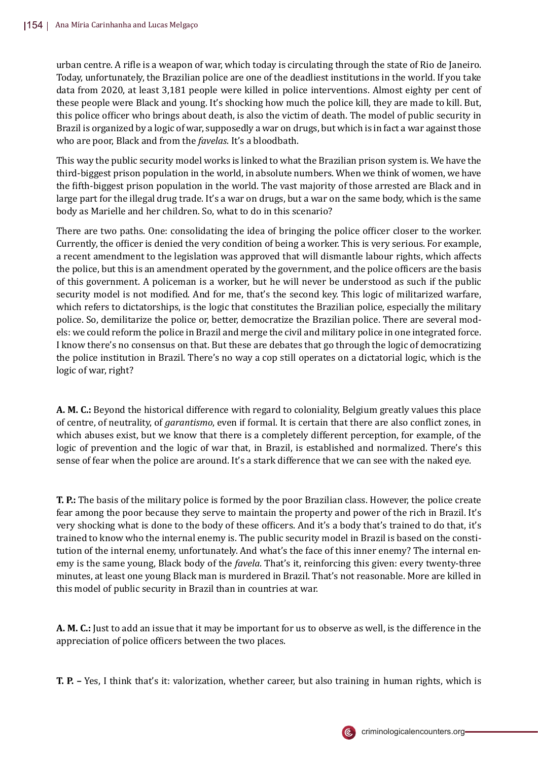urban centre. A ri�le is a weapon of war, which today is circulating through the state of Rio de Janeiro. Today, unfortunately, the Brazilian police are one of the deadliest institutions in the world. If you take data from 2020, at least 3,181 people were killed in police interventions. Almost eighty per cent of these people were Black and young. It's shocking how much the police kill, they are made to kill. But, this police officer who brings about death, is also the victim of death. The model of public security in Brazil is organized by a logic of war, supposedly a war on drugs, but which is in fact a war against those who are poor, Black and from the *favelas*. It's a bloodbath.

This way the public security model works is linked to what the Brazilian prison system is. We have the third-biggest prison population in the world, in absolute numbers. When we think of women, we have the �ifth-biggest prison population in the world. The vast majority of those arrested are Black and in large part for the illegal drug trade. It's a war on drugs, but a war on the same body, which is the same body as Marielle and her children. So, what to do in this scenario?

There are two paths. One: consolidating the idea of bringing the police officer closer to the worker. Currently, the officer is denied the very condition of being a worker. This is very serious. For example, a recent amendment to the legislation was approved that will dismantle labour rights, which affects the police, but this is an amendment operated by the government, and the police officers are the basis of this government. A policeman is a worker, but he will never be understood as such if the public security model is not modified. And for me, that's the second key. This logic of militarized warfare, which refers to dictatorships, is the logic that constitutes the Brazilian police, especially the military police. So, demilitarize the police or, better, democratize the Brazilian police. There are several models: we could reform the police in Brazil and merge the civil and military police in one integrated force. I know there's no consensus on that. But these are debates that go through the logic of democratizing the police institution in Brazil. There's no way a cop still operates on a dictatorial logic, which is the logic of war, right?

**A. M. C.:** Beyond the historical difference with regard to coloniality, Belgium greatly values this place of centre, of neutrality, of *garantismo*, even if formal. It is certain that there are also con�lict zones, in which abuses exist, but we know that there is a completely different perception, for example, of the logic of prevention and the logic of war that, in Brazil, is established and normalized. There's this sense of fear when the police are around. It's a stark difference that we can see with the naked eye.

**T. P.:** The basis of the military police is formed by the poor Brazilian class. However, the police create fear among the poor because they serve to maintain the property and power of the rich in Brazil. It's very shocking what is done to the body of these officers. And it's a body that's trained to do that, it's trained to know who the internal enemy is. The public security model in Brazil is based on the constitution of the internal enemy, unfortunately. And what's the face of this inner enemy? The internal enemy is the same young, Black body of the *favela*. That's it, reinforcing this given: every twenty-three minutes, at least one young Black man is murdered in Brazil. That's not reasonable. More are killed in this model of public security in Brazil than in countries at war.

**A. M. C.:** Just to add an issue that it may be important for us to observe as well, is the difference in the appreciation of police officers between the two places.

**T. P. –** Yes, I think that's it: valorization, whether career, but also training in human rights, which is

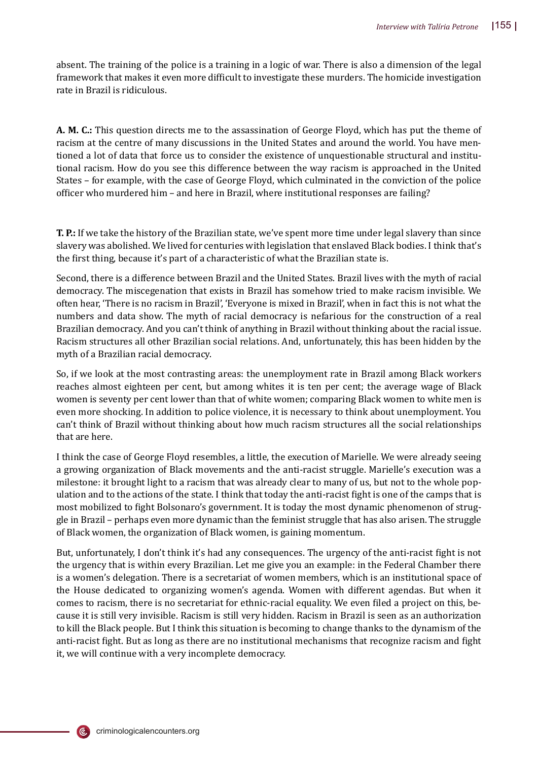absent. The training of the police is a training in a logic of war. There is also a dimension of the legal framework that makes it even more difficult to investigate these murders. The homicide investigation rate in Brazil is ridiculous.

**A. M. C.:** This question directs me to the assassination of George Floyd, which has put the theme of racism at the centre of many discussions in the United States and around the world. You have mentioned a lot of data that force us to consider the existence of unquestionable structural and institutional racism. How do you see this difference between the way racism is approached in the United States – for example, with the case of George Floyd, which culminated in the conviction of the police officer who murdered him – and here in Brazil, where institutional responses are failing?

**T. P.:** If we take the history of the Brazilian state, we've spent more time under legal slavery than since slavery was abolished. We lived for centuries with legislation that enslaved Black bodies. I think that's the �irst thing, because it's part of a characteristic of what the Brazilian state is.

Second, there is a difference between Brazil and the United States. Brazil lives with the myth of racial democracy. The miscegenation that exists in Brazil has somehow tried to make racism invisible. We often hear, 'There is no racism in Brazil', 'Everyone is mixed in Brazil', when in fact this is not what the numbers and data show. The myth of racial democracy is nefarious for the construction of a real Brazilian democracy. And you can't think of anything in Brazil without thinking about the racial issue. Racism structures all other Brazilian social relations. And, unfortunately, this has been hidden by the myth of a Brazilian racial democracy.

So, if we look at the most contrasting areas: the unemployment rate in Brazil among Black workers reaches almost eighteen per cent, but among whites it is ten per cent; the average wage of Black women is seventy per cent lower than that of white women; comparing Black women to white men is even more shocking. In addition to police violence, it is necessary to think about unemployment. You can't think of Brazil without thinking about how much racism structures all the social relationships that are here.

I think the case of George Floyd resembles, a little, the execution of Marielle. We were already seeing a growing organization of Black movements and the anti-racist struggle. Marielle's execution was a milestone: it brought light to a racism that was already clear to many of us, but not to the whole population and to the actions of the state. I think that today the anti-racist �ight is one of the camps that is most mobilized to fight Bolsonaro's government. It is today the most dynamic phenomenon of struggle in Brazil – perhaps even more dynamic than the feminist struggle that has also arisen. The struggle of Black women, the organization of Black women, is gaining momentum.

But, unfortunately, I don't think it's had any consequences. The urgency of the anti-racist fight is not the urgency that is within every Brazilian. Let me give you an example: in the Federal Chamber there is a women's delegation. There is a secretariat of women members, which is an institutional space of the House dedicated to organizing women's agenda. Women with different agendas. But when it comes to racism, there is no secretariat for ethnic-racial equality. We even �iled a project on this, because it is still very invisible. Racism is still very hidden. Racism in Brazil is seen as an authorization to kill the Black people. But I think this situation is becoming to change thanks to the dynamism of the anti-racist fight. But as long as there are no institutional mechanisms that recognize racism and fight it, we will continue with a very incomplete democracy.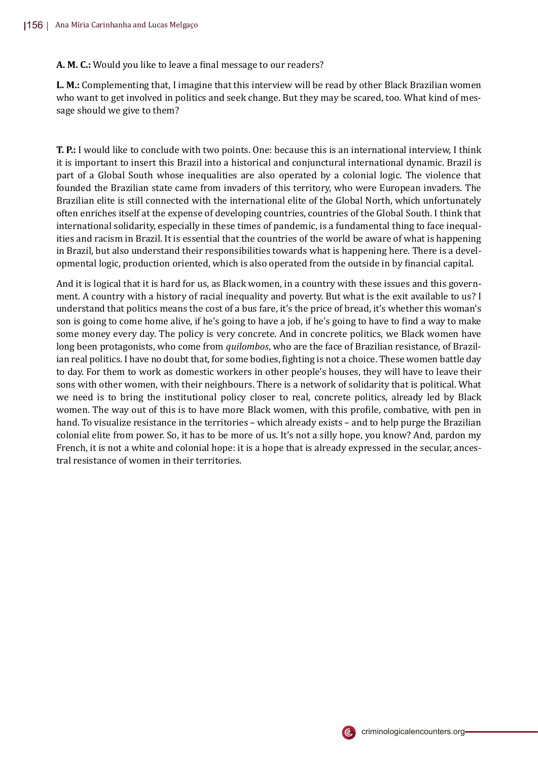A. M. C.: Would you like to leave a final message to our readers?

**L. M.:** Complementing that, I imagine that this interview will be read by other Black Brazilian women who want to get involved in politics and seek change. But they may be scared, too. What kind of message should we give to them?

**T. P.:** I would like to conclude with two points. One: because this is an international interview, I think it is important to insert this Brazil into a historical and conjunctural international dynamic. Brazil is part of a Global South whose inequalities are also operated by a colonial logic. The violence that founded the Brazilian state came from invaders of this territory, who were European invaders. The Brazilian elite is still connected with the international elite of the Global North, which unfortunately often enriches itself at the expense of developing countries, countries of the Global South. I think that international solidarity, especially in these times of pandemic, is a fundamental thing to face inequalities and racism in Brazil. It is essential that the countries of the world be aware of what is happening in Brazil, but also understand their responsibilities towards what is happening here. There is a developmental logic, production oriented, which is also operated from the outside in by �inancial capital.

And it is logical that it is hard for us, as Black women, in a country with these issues and this government. A country with a history of racial inequality and poverty. But what is the exit available to us? I understand that politics means the cost of a bus fare, it's the price of bread, it's whether this woman's son is going to come home alive, if he's going to have a job, if he's going to have to �ind a way to make some money every day. The policy is very concrete. And in concrete politics, we Black women have long been protagonists, who come from *quilombos*, who are the face of Brazilian resistance, of Brazilian real politics. I have no doubt that, for some bodies, fighting is not a choice. These women battle day to day. For them to work as domestic workers in other people's houses, they will have to leave their sons with other women, with their neighbours. There is a network of solidarity that is political. What we need is to bring the institutional policy closer to real, concrete politics, already led by Black women. The way out of this is to have more Black women, with this pro�ile, combative, with pen in hand. To visualize resistance in the territories – which already exists – and to help purge the Brazilian colonial elite from power. So, it has to be more of us. It's not a silly hope, you know? And, pardon my French, it is not a white and colonial hope: it is a hope that is already expressed in the secular, ancestral resistance of women in their territories.